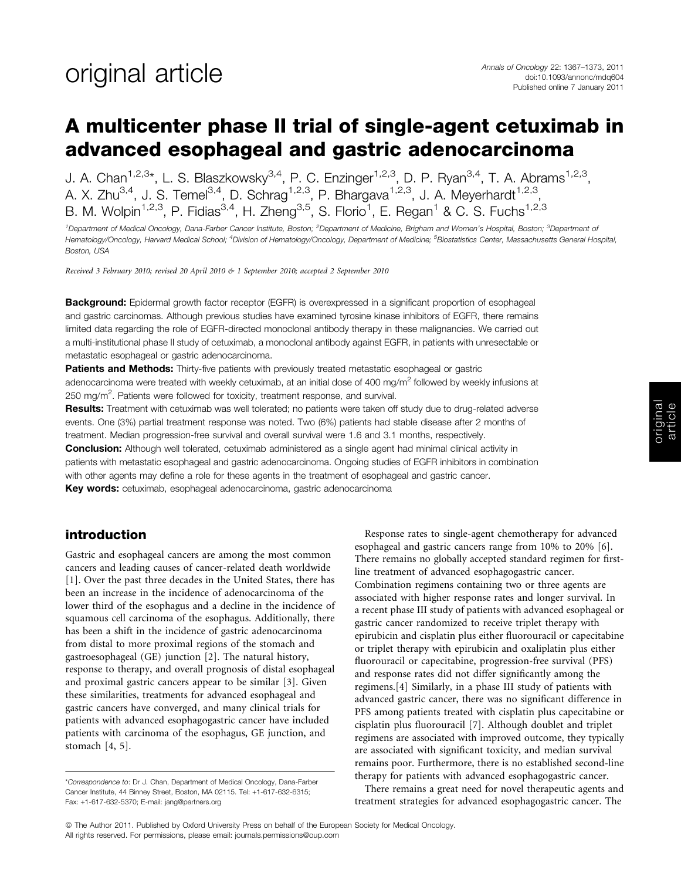## A multicenter phase II trial of single-agent cetuximab in advanced esophageal and gastric adenocarcinoma

J. A. Chan<sup>1,2,3\*</sup>, L. S. Blaszkowsky<sup>3,4</sup>, P. C. Enzinger<sup>1,2,3</sup>, D. P. Ryan<sup>3,4</sup>, T. A. Abrams<sup>1,2,3</sup>, A. X. Zhu<sup>3,4</sup>, J. S. Temel<sup>3,4</sup>, D. Schrag<sup>1,2,3</sup>, P. Bhargava<sup>1,2,3</sup>, J. A. Meyerhardt<sup>1,2,3</sup>, B. M. Wolpin<sup>1,2,3</sup>, P. Fidias<sup>3,4</sup>, H. Zheng<sup>3,5</sup>, S. Florio<sup>1</sup>, E. Regan<sup>1</sup> & C. S. Fuchs<sup>1,2,3</sup>

<sup>1</sup> Department of Medical Oncology, Dana-Farber Cancer Institute, Boston; <sup>2</sup> Department of Medicine, Brigham and Women's Hospital, Boston; <sup>3</sup> Department of Hematology/Oncology, Harvard Medical School; <sup>4</sup>Division of Hematology/Oncology, Department of Medicine; <sup>5</sup>Biostatistics Center, Massachusetts General Hospital, Boston, USA

Received 3 February 2010; revised 20 April 2010 & 1 September 2010; accepted 2 September 2010

Background: Epidermal growth factor receptor (EGFR) is overexpressed in a significant proportion of esophageal and gastric carcinomas. Although previous studies have examined tyrosine kinase inhibitors of EGFR, there remains limited data regarding the role of EGFR-directed monoclonal antibody therapy in these malignancies. We carried out a multi-institutional phase II study of cetuximab, a monoclonal antibody against EGFR, in patients with unresectable or metastatic esophageal or gastric adenocarcinoma.

Patients and Methods: Thirty-five patients with previously treated metastatic esophageal or gastric adenocarcinoma were treated with weekly cetuximab, at an initial dose of 400 mg/m<sup>2</sup> followed by weekly infusions at 250 mg/m<sup>2</sup>. Patients were followed for toxicity, treatment response, and survival.

Results: Treatment with cetuximab was well tolerated; no patients were taken off study due to drug-related adverse events. One (3%) partial treatment response was noted. Two (6%) patients had stable disease after 2 months of treatment. Median progression-free survival and overall survival were 1.6 and 3.1 months, respectively.

Conclusion: Although well tolerated, cetuximab administered as a single agent had minimal clinical activity in patients with metastatic esophageal and gastric adenocarcinoma. Ongoing studies of EGFR inhibitors in combination with other agents may define a role for these agents in the treatment of esophageal and gastric cancer. **Key words:** cetuximab, esophageal adenocarcinoma, gastric adenocarcinoma

#### introduction

Gastric and esophageal cancers are among the most common cancers and leading causes of cancer-related death worldwide [1]. Over the past three decades in the United States, there has been an increase in the incidence of adenocarcinoma of the lower third of the esophagus and a decline in the incidence of squamous cell carcinoma of the esophagus. Additionally, there has been a shift in the incidence of gastric adenocarcinoma from distal to more proximal regions of the stomach and gastroesophageal (GE) junction [2]. The natural history, response to therapy, and overall prognosis of distal esophageal and proximal gastric cancers appear to be similar [3]. Given these similarities, treatments for advanced esophageal and gastric cancers have converged, and many clinical trials for patients with advanced esophagogastric cancer have included patients with carcinoma of the esophagus, GE junction, and stomach [4, 5].

Response rates to single-agent chemotherapy for advanced esophageal and gastric cancers range from 10% to 20% [6]. There remains no globally accepted standard regimen for firstline treatment of advanced esophagogastric cancer. Combination regimens containing two or three agents are associated with higher response rates and longer survival. In a recent phase III study of patients with advanced esophageal or gastric cancer randomized to receive triplet therapy with epirubicin and cisplatin plus either fluorouracil or capecitabine or triplet therapy with epirubicin and oxaliplatin plus either fluorouracil or capecitabine, progression-free survival (PFS) and response rates did not differ significantly among the regimens.[4] Similarly, in a phase III study of patients with advanced gastric cancer, there was no significant difference in PFS among patients treated with cisplatin plus capecitabine or cisplatin plus fluorouracil [7]. Although doublet and triplet regimens are associated with improved outcome, they typically are associated with significant toxicity, and median survival remains poor. Furthermore, there is no established second-line therapy for patients with advanced esophagogastric cancer.

There remains a great need for novel therapeutic agents and treatment strategies for advanced esophagogastric cancer. The

<sup>\*</sup>Correspondence to: Dr J. Chan, Department of Medical Oncology, Dana-Farber Cancer Institute, 44 Binney Street, Boston, MA 02115. Tel: +1-617-632-6315; Fax: +1-617-632-5370; E-mail: jang@partners.org

*ª* The Author 2011. Published by Oxford University Press on behalf of the European Society for Medical Oncology. All rights reserved. For permissions, please email: journals.permissions@oup.com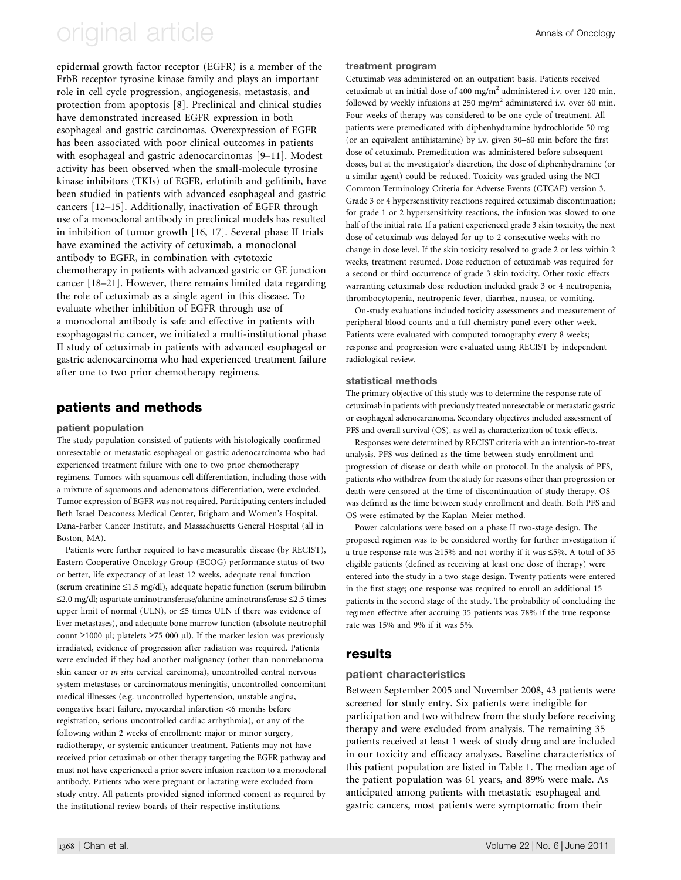# original article Annals of Oncology

epidermal growth factor receptor (EGFR) is a member of the ErbB receptor tyrosine kinase family and plays an important role in cell cycle progression, angiogenesis, metastasis, and protection from apoptosis [8]. Preclinical and clinical studies have demonstrated increased EGFR expression in both esophageal and gastric carcinomas. Overexpression of EGFR has been associated with poor clinical outcomes in patients with esophageal and gastric adenocarcinomas [9–11]. Modest activity has been observed when the small-molecule tyrosine kinase inhibitors (TKIs) of EGFR, erlotinib and gefitinib, have been studied in patients with advanced esophageal and gastric cancers [12–15]. Additionally, inactivation of EGFR through use of a monoclonal antibody in preclinical models has resulted in inhibition of tumor growth [16, 17]. Several phase II trials have examined the activity of cetuximab, a monoclonal antibody to EGFR, in combination with cytotoxic chemotherapy in patients with advanced gastric or GE junction cancer [18–21]. However, there remains limited data regarding the role of cetuximab as a single agent in this disease. To evaluate whether inhibition of EGFR through use of a monoclonal antibody is safe and effective in patients with esophagogastric cancer, we initiated a multi-institutional phase II study of cetuximab in patients with advanced esophageal or gastric adenocarcinoma who had experienced treatment failure after one to two prior chemotherapy regimens.

### patients and methods

#### patient population

The study population consisted of patients with histologically confirmed unresectable or metastatic esophageal or gastric adenocarcinoma who had experienced treatment failure with one to two prior chemotherapy regimens. Tumors with squamous cell differentiation, including those with a mixture of squamous and adenomatous differentiation, were excluded. Tumor expression of EGFR was not required. Participating centers included Beth Israel Deaconess Medical Center, Brigham and Women's Hospital, Dana-Farber Cancer Institute, and Massachusetts General Hospital (all in Boston, MA).

Patients were further required to have measurable disease (by RECIST), Eastern Cooperative Oncology Group (ECOG) performance status of two or better, life expectancy of at least 12 weeks, adequate renal function (serum creatinine £1.5 mg/dl), adequate hepatic function (serum bilirubin  $\leq$ 2.0 mg/dl; aspartate aminotransferase/alanine aminotransferase  $\leq$ 2.5 times upper limit of normal (ULN), or  $\leq$ 5 times ULN if there was evidence of liver metastases), and adequate bone marrow function (absolute neutrophil count  $\geq$ 1000 µl; platelets  $\geq$ 75 000 µl). If the marker lesion was previously irradiated, evidence of progression after radiation was required. Patients were excluded if they had another malignancy (other than nonmelanoma skin cancer or in situ cervical carcinoma), uncontrolled central nervous system metastases or carcinomatous meningitis, uncontrolled concomitant medical illnesses (e.g. uncontrolled hypertension, unstable angina, congestive heart failure, myocardial infarction <6 months before registration, serious uncontrolled cardiac arrhythmia), or any of the following within 2 weeks of enrollment: major or minor surgery, radiotherapy, or systemic anticancer treatment. Patients may not have received prior cetuximab or other therapy targeting the EGFR pathway and must not have experienced a prior severe infusion reaction to a monoclonal antibody. Patients who were pregnant or lactating were excluded from study entry. All patients provided signed informed consent as required by the institutional review boards of their respective institutions.

#### treatment program

Cetuximab was administered on an outpatient basis. Patients received cetuximab at an initial dose of 400 mg/m<sup>2</sup> administered i.v. over 120 min, followed by weekly infusions at 250 mg/m<sup>2</sup> administered i.v. over 60 min. Four weeks of therapy was considered to be one cycle of treatment. All patients were premedicated with diphenhydramine hydrochloride 50 mg (or an equivalent antihistamine) by i.v. given 30–60 min before the first dose of cetuximab. Premedication was administered before subsequent doses, but at the investigator's discretion, the dose of diphenhydramine (or a similar agent) could be reduced. Toxicity was graded using the NCI Common Terminology Criteria for Adverse Events (CTCAE) version 3. Grade 3 or 4 hypersensitivity reactions required cetuximab discontinuation; for grade 1 or 2 hypersensitivity reactions, the infusion was slowed to one half of the initial rate. If a patient experienced grade 3 skin toxicity, the next dose of cetuximab was delayed for up to 2 consecutive weeks with no change in dose level. If the skin toxicity resolved to grade 2 or less within 2 weeks, treatment resumed. Dose reduction of cetuximab was required for a second or third occurrence of grade 3 skin toxicity. Other toxic effects warranting cetuximab dose reduction included grade 3 or 4 neutropenia, thrombocytopenia, neutropenic fever, diarrhea, nausea, or vomiting.

On-study evaluations included toxicity assessments and measurement of peripheral blood counts and a full chemistry panel every other week. Patients were evaluated with computed tomography every 8 weeks; response and progression were evaluated using RECIST by independent radiological review.

#### statistical methods

The primary objective of this study was to determine the response rate of cetuximab in patients with previously treated unresectable or metastatic gastric or esophageal adenocarcinoma. Secondary objectives included assessment of PFS and overall survival (OS), as well as characterization of toxic effects.

Responses were determined by RECIST criteria with an intention-to-treat analysis. PFS was defined as the time between study enrollment and progression of disease or death while on protocol. In the analysis of PFS, patients who withdrew from the study for reasons other than progression or death were censored at the time of discontinuation of study therapy. OS was defined as the time between study enrollment and death. Both PFS and OS were estimated by the Kaplan–Meier method.

Power calculations were based on a phase II two-stage design. The proposed regimen was to be considered worthy for further investigation if a true response rate was  $\geq$ 15% and not worthy if it was  $\leq$ 5%. A total of 35 eligible patients (defined as receiving at least one dose of therapy) were entered into the study in a two-stage design. Twenty patients were entered in the first stage; one response was required to enroll an additional 15 patients in the second stage of the study. The probability of concluding the regimen effective after accruing 35 patients was 78% if the true response rate was 15% and 9% if it was 5%.

### results

#### patient characteristics

Between September 2005 and November 2008, 43 patients were screened for study entry. Six patients were ineligible for participation and two withdrew from the study before receiving therapy and were excluded from analysis. The remaining 35 patients received at least 1 week of study drug and are included in our toxicity and efficacy analyses. Baseline characteristics of this patient population are listed in Table 1. The median age of the patient population was 61 years, and 89% were male. As anticipated among patients with metastatic esophageal and gastric cancers, most patients were symptomatic from their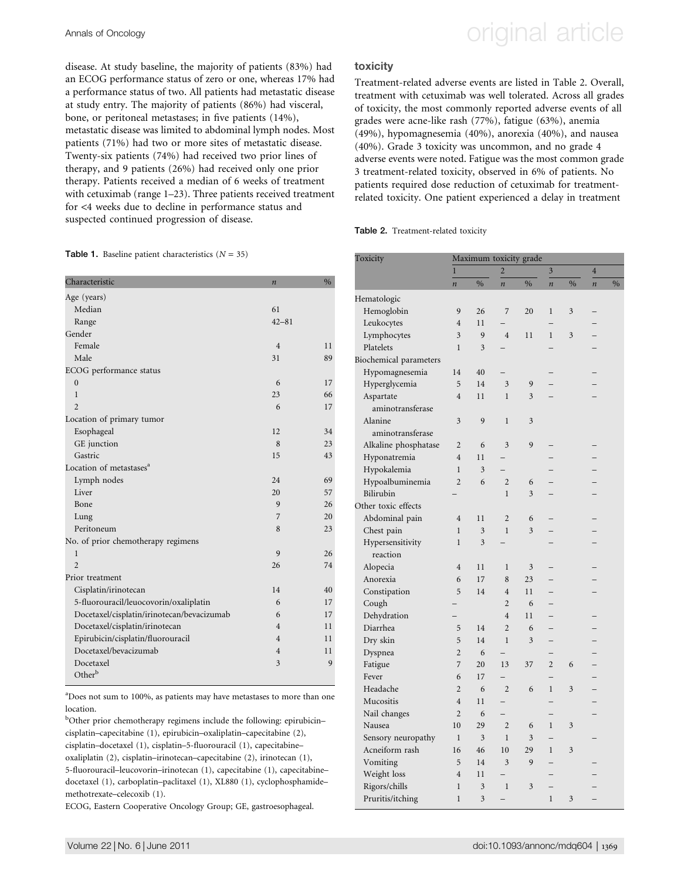disease. At study baseline, the majority of patients (83%) had an ECOG performance status of zero or one, whereas 17% had a performance status of two. All patients had metastatic disease at study entry. The majority of patients (86%) had visceral, bone, or peritoneal metastases; in five patients (14%), metastatic disease was limited to abdominal lymph nodes. Most patients (71%) had two or more sites of metastatic disease. Twenty-six patients (74%) had received two prior lines of therapy, and 9 patients (26%) had received only one prior therapy. Patients received a median of 6 weeks of treatment with cetuximab (range 1–23). Three patients received treatment for <4 weeks due to decline in performance status and suspected continued progression of disease.

**Table 1.** Baseline patient characteristics  $(N = 35)$ 

| Characteristic                             | $\boldsymbol{n}$         | $\frac{0}{0}$ |
|--------------------------------------------|--------------------------|---------------|
| Age (years)                                |                          |               |
| Median                                     | 61                       |               |
| Range                                      | $42 - 81$                |               |
| Gender                                     |                          |               |
| Female                                     | $\overline{4}$           | 11            |
| Male                                       | 31                       | 89            |
| ECOG performance status                    |                          |               |
| $\overline{0}$                             | 6                        | 17            |
| 1                                          | 23                       | 66            |
| $\overline{c}$                             | 6                        | 17            |
| Location of primary tumor                  |                          |               |
| Esophageal                                 | 12                       | 34            |
| GE junction                                | 8                        | 23            |
| Gastric                                    | 15                       | 43            |
| Location of metastases <sup>a</sup>        |                          |               |
| Lymph nodes                                | 24                       | 69            |
| Liver                                      | 20                       | 57            |
| Bone                                       | 9                        | 26            |
| Lung                                       | 7                        | 20            |
| Peritoneum                                 | 8                        | 23            |
| No. of prior chemotherapy regimens         |                          |               |
| 1                                          | 9                        | 26            |
| $\overline{c}$                             | 26                       | 74            |
| Prior treatment                            |                          |               |
| Cisplatin/irinotecan                       | 14                       | 40            |
| 5-fluorouracil/leuocovorin/oxaliplatin     | 6                        | 17            |
| Docetaxel/cisplatin/irinotecan/bevacizumab | 6                        | 17            |
| Docetaxel/cisplatin/irinotecan             | 4                        | 11            |
| Epirubicin/cisplatin/fluorouracil          | $\overline{\mathcal{A}}$ | 11            |
| Docetaxel/bevacizumab                      | 4                        | 11            |
| Docetaxel                                  | 3                        | 9             |
| Other <sup>b</sup>                         |                          |               |

<sup>a</sup>Does not sum to 100%, as patients may have metastases to more than one location.

<sup>b</sup>Other prior chemotherapy regimens include the following: epirubicincisplatin–capecitabine (1), epirubicin–oxaliplatin–capecitabine (2), cisplatin–docetaxel (1), cisplatin–5-fluorouracil (1), capecitabine– oxaliplatin (2), cisplatin–irinotecan–capecitabine (2), irinotecan (1), 5-fluorouracil–leucovorin–irinotecan (1), capecitabine (1), capecitabine– docetaxel (1), carboplatin–paclitaxel (1), XL880 (1), cyclophosphamide– methotrexate–celecoxib (1).

ECOG, Eastern Cooperative Oncology Group; GE, gastroesophageal.

# Annals of Oncology **Annals of Oncology** original article

#### toxicity

Treatment-related adverse events are listed in Table 2. Overall, treatment with cetuximab was well tolerated. Across all grades of toxicity, the most commonly reported adverse events of all grades were acne-like rash (77%), fatigue (63%), anemia (49%), hypomagnesemia (40%), anorexia (40%), and nausea (40%). Grade 3 toxicity was uncommon, and no grade 4 adverse events were noted. Fatigue was the most common grade 3 treatment-related toxicity, observed in 6% of patients. No patients required dose reduction of cetuximab for treatmentrelated toxicity. One patient experienced a delay in treatment

Table 2. Treatment-related toxicity

| Toxicity               | Maximum toxicity grade  |                         |                          |               |                          |      |                          |                |  |
|------------------------|-------------------------|-------------------------|--------------------------|---------------|--------------------------|------|--------------------------|----------------|--|
|                        | $\mathbf{1}$            |                         | $\overline{c}$           |               | $\overline{\mathbf{3}}$  |      |                          | $\overline{4}$ |  |
|                        | $\boldsymbol{n}$        | $\%$                    | n                        | $\frac{0}{0}$ | $\overline{n}$           | $\%$ | $\overline{n}$           | $\%$           |  |
| Hematologic            |                         |                         |                          |               |                          |      |                          |                |  |
| Hemoglobin             | 9                       | 26                      | 7                        | 20            | $\mathbf{1}$             | 3    |                          |                |  |
| Leukocytes             | $\overline{4}$          | 11                      |                          |               |                          |      |                          |                |  |
| Lymphocytes            | 3                       | 9                       | $\overline{4}$           | 11            | $\mathbf{1}$             | 3    |                          |                |  |
| Platelets              | $\mathbf{1}$            | $\overline{\mathbf{3}}$ |                          |               |                          |      |                          |                |  |
| Biochemical parameters |                         |                         |                          |               |                          |      |                          |                |  |
| Hypomagnesemia         | 14                      | 40                      |                          |               |                          |      |                          |                |  |
| Hyperglycemia          | 5                       | 14                      | 3                        | 9             |                          |      |                          |                |  |
| Aspartate              | $\overline{4}$          | 11                      | $\mathbf{1}$             | 3             |                          |      |                          |                |  |
| aminotransferase       |                         |                         |                          |               |                          |      |                          |                |  |
| Alanine                | $\overline{\mathbf{3}}$ | 9                       | $\mathbf{1}$             | 3             |                          |      |                          |                |  |
| aminotransferase       |                         |                         |                          |               |                          |      |                          |                |  |
| Alkaline phosphatase   | $\overline{2}$          | 6                       | 3                        | 9             |                          |      |                          |                |  |
| Hyponatremia           | $\overline{4}$          | 11                      |                          |               |                          |      |                          |                |  |
| Hypokalemia            | $\mathbf{1}$            | 3                       |                          |               |                          |      |                          |                |  |
| Hypoalbuminemia        | $\overline{2}$          | 6                       | $\overline{2}$           | 6             |                          |      |                          |                |  |
| Bilirubin              |                         |                         | $\mathbf{1}$             | 3             |                          |      |                          |                |  |
| Other toxic effects    |                         |                         |                          |               |                          |      |                          |                |  |
| Abdominal pain         | $\overline{4}$          | 11                      | $\overline{2}$           | 6             |                          |      |                          |                |  |
| Chest pain             | $\mathbf{1}$            | 3                       | $\mathbf{1}$             | 3             |                          |      |                          |                |  |
| Hypersensitivity       | $\mathbf{1}$            | 3                       |                          |               |                          |      |                          |                |  |
| reaction               |                         |                         |                          |               |                          |      |                          |                |  |
| Alopecia               | $\overline{4}$          | 11                      | $\mathbf{1}$             | 3             |                          |      |                          |                |  |
| Anorexia               | 6                       | 17                      | 8                        | 23            |                          |      |                          |                |  |
| Constipation           | 5                       | 14                      | $\overline{4}$           | 11            |                          |      |                          |                |  |
| Cough                  |                         |                         | $\overline{2}$           | 6             |                          |      |                          |                |  |
| Dehydration            |                         |                         | $\overline{4}$           | 11            |                          |      |                          |                |  |
| Diarrhea               | 5                       | 14                      | $\overline{2}$           | 6             |                          |      |                          |                |  |
| Dry skin               | 5                       | 14                      | $\mathbf{1}$             | 3             |                          |      |                          |                |  |
| Dyspnea                | $\overline{c}$          | 6                       | $\overline{\phantom{0}}$ |               |                          |      |                          |                |  |
| Fatigue                | 7                       | 20                      | 13                       | 37            | $\overline{2}$           | 6    |                          |                |  |
| Fever                  | 6                       | 17                      | $\overline{a}$           |               |                          |      |                          |                |  |
| Headache               | $\overline{2}$          | 6                       | $\overline{2}$           | 6             | $\mathbf{1}$             | 3    |                          |                |  |
| Mucositis              | $\overline{4}$          | 11                      |                          |               |                          |      |                          |                |  |
| Nail changes           | $\overline{2}$          | 6                       | $\overline{\phantom{0}}$ |               |                          |      |                          |                |  |
| Nausea                 | 10                      | 29                      | $\overline{2}$           | 6             | $\mathbf{1}$             | 3    |                          |                |  |
| Sensory neuropathy     | $\mathbf{1}$            | 3                       | $\mathbf{1}$             | 3             | $\overline{\phantom{0}}$ |      |                          |                |  |
| Acneiform rash         | 16                      | 46                      | 10                       | 29            | 1                        | 3    |                          |                |  |
| Vomiting               | 5                       | 14                      | 3                        | 9             |                          |      |                          |                |  |
| Weight loss            | $\overline{4}$          | 11                      | $\overline{\phantom{0}}$ |               |                          |      |                          |                |  |
| Rigors/chills          | $\mathbf 1$             | 3                       | $\mathbf{1}$             | 3             |                          |      |                          |                |  |
| Pruritis/itching       | $\mathbf{1}$            | $\overline{\mathbf{3}}$ |                          |               | $\mathbf{1}$             | 3    | $\overline{\phantom{0}}$ |                |  |
|                        |                         |                         |                          |               |                          |      |                          |                |  |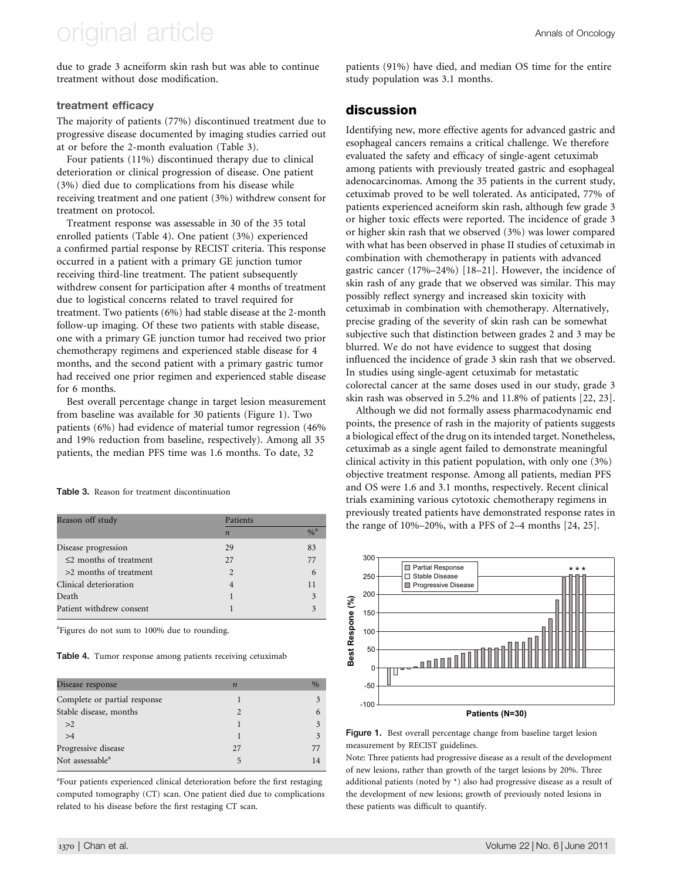due to grade 3 acneiform skin rash but was able to continue treatment without dose modification.

#### treatment efficacy

The majority of patients (77%) discontinued treatment due to progressive disease documented by imaging studies carried out at or before the 2-month evaluation (Table 3).

Four patients (11%) discontinued therapy due to clinical deterioration or clinical progression of disease. One patient (3%) died due to complications from his disease while receiving treatment and one patient (3%) withdrew consent for treatment on protocol.

Treatment response was assessable in 30 of the 35 total enrolled patients (Table 4). One patient (3%) experienced a confirmed partial response by RECIST criteria. This response occurred in a patient with a primary GE junction tumor receiving third-line treatment. The patient subsequently withdrew consent for participation after 4 months of treatment due to logistical concerns related to travel required for treatment. Two patients (6%) had stable disease at the 2-month follow-up imaging. Of these two patients with stable disease, one with a primary GE junction tumor had received two prior chemotherapy regimens and experienced stable disease for 4 months, and the second patient with a primary gastric tumor had received one prior regimen and experienced stable disease for 6 months.

Best overall percentage change in target lesion measurement from baseline was available for 30 patients (Figure 1). Two patients (6%) had evidence of material tumor regression (46% and 19% reduction from baseline, respectively). Among all 35 patients, the median PFS time was 1.6 months. To date, 32

#### Table 3. Reason for treatment discontinuation

| Reason off study             | Patients         |        |  |  |
|------------------------------|------------------|--------|--|--|
|                              | $\boldsymbol{n}$ | $\%^a$ |  |  |
| Disease progression          | 29               | 83     |  |  |
| $\leq$ 2 months of treatment | 27               | 77     |  |  |
| >2 months of treatment       | 2                | 6      |  |  |
| Clinical deterioration       | 4                | 11     |  |  |
| Death                        |                  | 3      |  |  |
| Patient withdrew consent     |                  | 3      |  |  |

<sup>a</sup>Figures do not sum to 100% due to rounding.

Table 4. Tumor response among patients receiving cetuximab

| Disease response             | $\boldsymbol{n}$ | $\frac{0}{0}$ |
|------------------------------|------------------|---------------|
| Complete or partial response |                  |               |
| Stable disease, months       |                  |               |
| >2                           |                  |               |
| >4                           |                  |               |
| Progressive disease          | 27               |               |
| Not assessable <sup>a</sup>  |                  |               |

<sup>a</sup>Four patients experienced clinical deterioration before the first restaging computed tomography (CT) scan. One patient died due to complications related to his disease before the first restaging CT scan.

patients (91%) have died, and median OS time for the entire study population was 3.1 months.

#### discussion

Identifying new, more effective agents for advanced gastric and esophageal cancers remains a critical challenge. We therefore evaluated the safety and efficacy of single-agent cetuximab among patients with previously treated gastric and esophageal adenocarcinomas. Among the 35 patients in the current study, cetuximab proved to be well tolerated. As anticipated, 77% of patients experienced acneiform skin rash, although few grade 3 or higher toxic effects were reported. The incidence of grade 3 or higher skin rash that we observed (3%) was lower compared with what has been observed in phase II studies of cetuximab in combination with chemotherapy in patients with advanced gastric cancer (17%–24%) [18–21]. However, the incidence of skin rash of any grade that we observed was similar. This may possibly reflect synergy and increased skin toxicity with cetuximab in combination with chemotherapy. Alternatively, precise grading of the severity of skin rash can be somewhat subjective such that distinction between grades 2 and 3 may be blurred. We do not have evidence to suggest that dosing influenced the incidence of grade 3 skin rash that we observed. In studies using single-agent cetuximab for metastatic colorectal cancer at the same doses used in our study, grade 3 skin rash was observed in 5.2% and 11.8% of patients [22, 23].

Although we did not formally assess pharmacodynamic end points, the presence of rash in the majority of patients suggests a biological effect of the drug on its intended target. Nonetheless, cetuximab as a single agent failed to demonstrate meaningful clinical activity in this patient population, with only one (3%) objective treatment response. Among all patients, median PFS and OS were 1.6 and 3.1 months, respectively. Recent clinical trials examining various cytotoxic chemotherapy regimens in previously treated patients have demonstrated response rates in the range of 10%–20%, with a PFS of 2–4 months [24, 25].



Figure 1. Best overall percentage change from baseline target lesion measurement by RECIST guidelines.

Note: Three patients had progressive disease as a result of the development of new lesions, rather than growth of the target lesions by 20%. Three additional patients (noted by \*) also had progressive disease as a result of the development of new lesions; growth of previously noted lesions in these patients was difficult to quantify.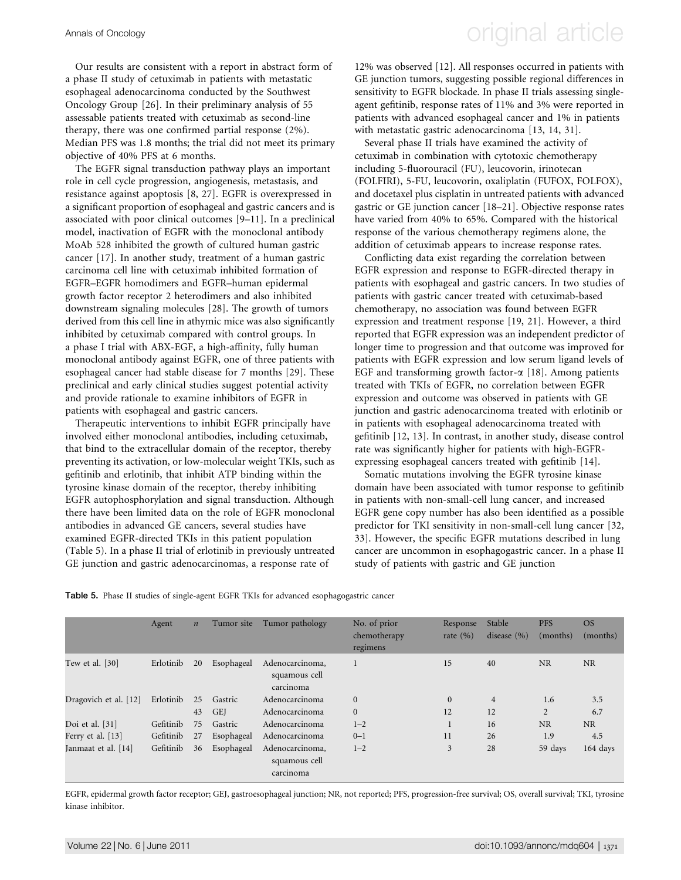Annals of Oncology **Annals of Oncology** original article

Our results are consistent with a report in abstract form of a phase II study of cetuximab in patients with metastatic esophageal adenocarcinoma conducted by the Southwest Oncology Group [26]. In their preliminary analysis of 55 assessable patients treated with cetuximab as second-line therapy, there was one confirmed partial response (2%). Median PFS was 1.8 months; the trial did not meet its primary objective of 40% PFS at 6 months.

The EGFR signal transduction pathway plays an important role in cell cycle progression, angiogenesis, metastasis, and resistance against apoptosis [8, 27]. EGFR is overexpressed in a significant proportion of esophageal and gastric cancers and is associated with poor clinical outcomes [9–11]. In a preclinical model, inactivation of EGFR with the monoclonal antibody MoAb 528 inhibited the growth of cultured human gastric cancer [17]. In another study, treatment of a human gastric carcinoma cell line with cetuximab inhibited formation of EGFR–EGFR homodimers and EGFR–human epidermal growth factor receptor 2 heterodimers and also inhibited downstream signaling molecules [28]. The growth of tumors derived from this cell line in athymic mice was also significantly inhibited by cetuximab compared with control groups. In a phase I trial with ABX-EGF, a high-affinity, fully human monoclonal antibody against EGFR, one of three patients with esophageal cancer had stable disease for 7 months [29]. These preclinical and early clinical studies suggest potential activity and provide rationale to examine inhibitors of EGFR in patients with esophageal and gastric cancers.

Therapeutic interventions to inhibit EGFR principally have involved either monoclonal antibodies, including cetuximab, that bind to the extracellular domain of the receptor, thereby preventing its activation, or low-molecular weight TKIs, such as gefitinib and erlotinib, that inhibit ATP binding within the tyrosine kinase domain of the receptor, thereby inhibiting EGFR autophosphorylation and signal transduction. Although there have been limited data on the role of EGFR monoclonal antibodies in advanced GE cancers, several studies have examined EGFR-directed TKIs in this patient population (Table 5). In a phase II trial of erlotinib in previously untreated GE junction and gastric adenocarcinomas, a response rate of

12% was observed [12]. All responses occurred in patients with GE junction tumors, suggesting possible regional differences in sensitivity to EGFR blockade. In phase II trials assessing singleagent gefitinib, response rates of 11% and 3% were reported in patients with advanced esophageal cancer and 1% in patients with metastatic gastric adenocarcinoma [13, 14, 31].

Several phase II trials have examined the activity of cetuximab in combination with cytotoxic chemotherapy including 5-fluorouracil (FU), leucovorin, irinotecan (FOLFIRI), 5-FU, leucovorin, oxaliplatin (FUFOX, FOLFOX), and docetaxel plus cisplatin in untreated patients with advanced gastric or GE junction cancer [18–21]. Objective response rates have varied from 40% to 65%. Compared with the historical response of the various chemotherapy regimens alone, the addition of cetuximab appears to increase response rates.

Conflicting data exist regarding the correlation between EGFR expression and response to EGFR-directed therapy in patients with esophageal and gastric cancers. In two studies of patients with gastric cancer treated with cetuximab-based chemotherapy, no association was found between EGFR expression and treatment response [19, 21]. However, a third reported that EGFR expression was an independent predictor of longer time to progression and that outcome was improved for patients with EGFR expression and low serum ligand levels of EGF and transforming growth factor- $\alpha$  [18]. Among patients treated with TKIs of EGFR, no correlation between EGFR expression and outcome was observed in patients with GE junction and gastric adenocarcinoma treated with erlotinib or in patients with esophageal adenocarcinoma treated with gefitinib [12, 13]. In contrast, in another study, disease control rate was significantly higher for patients with high-EGFRexpressing esophageal cancers treated with gefitinib [14].

Somatic mutations involving the EGFR tyrosine kinase domain have been associated with tumor response to gefitinib in patients with non-small-cell lung cancer, and increased EGFR gene copy number has also been identified as a possible predictor for TKI sensitivity in non-small-cell lung cancer [32, 33]. However, the specific EGFR mutations described in lung cancer are uncommon in esophagogastric cancer. In a phase II study of patients with gastric and GE junction

|  |  |  |  |  |  |  | Table 5. Phase II studies of single-agent EGFR TKIs for advanced esophagogastric cancer |
|--|--|--|--|--|--|--|-----------------------------------------------------------------------------------------|
|--|--|--|--|--|--|--|-----------------------------------------------------------------------------------------|

|                       | Agent     | $\boldsymbol{n}$ | Tumor site | Tumor pathology                               | No. of prior<br>chemotherapy<br>regimens | Response<br>rate $(\% )$ | Stable<br>disease $(% )$ | <b>PFS</b><br>(months) | <b>OS</b><br>(months) |
|-----------------------|-----------|------------------|------------|-----------------------------------------------|------------------------------------------|--------------------------|--------------------------|------------------------|-----------------------|
| Tew et al. $[30]$     | Erlotinib | 20               | Esophageal | Adenocarcinoma,<br>squamous cell<br>carcinoma |                                          | 15                       | 40                       | <b>NR</b>              | <b>NR</b>             |
| Dragovich et al. [12] | Erlotinib | 25               | Gastric    | Adenocarcinoma                                | $\mathbf{0}$                             | $\mathbf{0}$             | $\overline{4}$           | 1.6                    | 3.5                   |
|                       |           | 43               | <b>GEI</b> | Adenocarcinoma                                | $\mathbf{0}$                             | 12                       | 12                       | $\overline{2}$         | 6.7                   |
| Doi et al. [31]       | Gefitinib | 75               | Gastric    | Adenocarcinoma                                | $1 - 2$                                  |                          | 16                       | <b>NR</b>              | <b>NR</b>             |
| Ferry et al. [13]     | Gefitinib | 27               | Esophageal | Adenocarcinoma                                | $0 - 1$                                  | 11                       | 26                       | 1.9                    | 4.5                   |
| Janmaat et al. [14]   | Gefitinib | 36               | Esophageal | Adenocarcinoma,<br>squamous cell<br>carcinoma | $1 - 2$                                  | 3                        | 28                       | 59 days                | 164 days              |

EGFR, epidermal growth factor receptor; GEJ, gastroesophageal junction; NR, not reported; PFS, progression-free survival; OS, overall survival; TKI, tyrosine kinase inhibitor.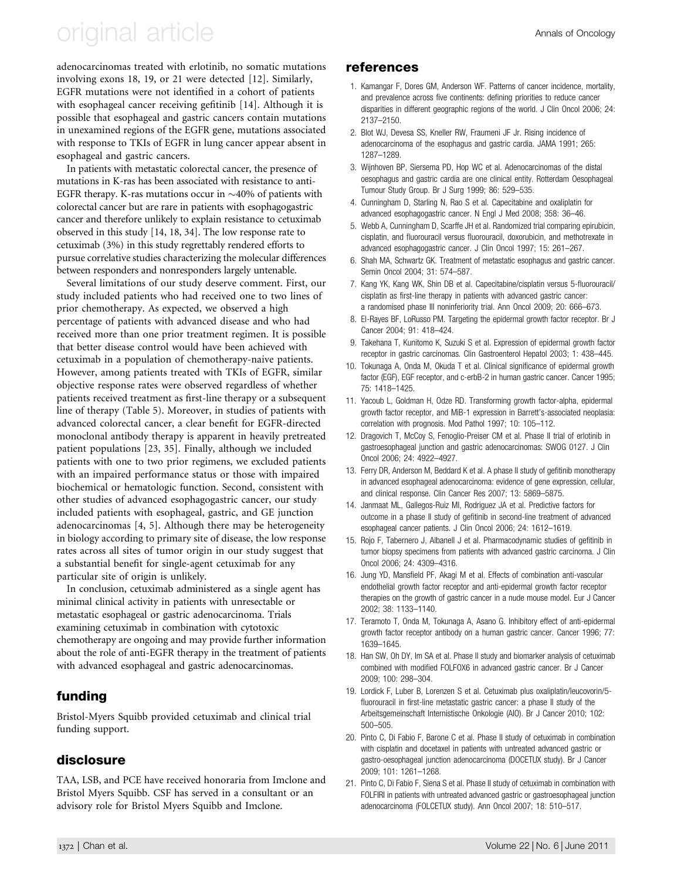# original article Annals of Oncology

adenocarcinomas treated with erlotinib, no somatic mutations involving exons 18, 19, or 21 were detected [12]. Similarly, EGFR mutations were not identified in a cohort of patients with esophageal cancer receiving gefitinib [14]. Although it is possible that esophageal and gastric cancers contain mutations in unexamined regions of the EGFR gene, mutations associated with response to TKIs of EGFR in lung cancer appear absent in esophageal and gastric cancers.

In patients with metastatic colorectal cancer, the presence of mutations in K-ras has been associated with resistance to anti-EGFR therapy. K-ras mutations occur in  $\sim$ 40% of patients with colorectal cancer but are rare in patients with esophagogastric cancer and therefore unlikely to explain resistance to cetuximab observed in this study [14, 18, 34]. The low response rate to cetuximab (3%) in this study regrettably rendered efforts to pursue correlative studies characterizing the molecular differences between responders and nonresponders largely untenable.

Several limitations of our study deserve comment. First, our study included patients who had received one to two lines of prior chemotherapy. As expected, we observed a high percentage of patients with advanced disease and who had received more than one prior treatment regimen. It is possible that better disease control would have been achieved with cetuximab in a population of chemotherapy-naive patients. However, among patients treated with TKIs of EGFR, similar objective response rates were observed regardless of whether patients received treatment as first-line therapy or a subsequent line of therapy (Table 5). Moreover, in studies of patients with advanced colorectal cancer, a clear benefit for EGFR-directed monoclonal antibody therapy is apparent in heavily pretreated patient populations [23, 35]. Finally, although we included patients with one to two prior regimens, we excluded patients with an impaired performance status or those with impaired biochemical or hematologic function. Second, consistent with other studies of advanced esophagogastric cancer, our study included patients with esophageal, gastric, and GE junction adenocarcinomas [4, 5]. Although there may be heterogeneity in biology according to primary site of disease, the low response rates across all sites of tumor origin in our study suggest that a substantial benefit for single-agent cetuximab for any particular site of origin is unlikely.

In conclusion, cetuximab administered as a single agent has minimal clinical activity in patients with unresectable or metastatic esophageal or gastric adenocarcinoma. Trials examining cetuximab in combination with cytotoxic chemotherapy are ongoing and may provide further information about the role of anti-EGFR therapy in the treatment of patients with advanced esophageal and gastric adenocarcinomas.

### funding

Bristol-Myers Squibb provided cetuximab and clinical trial funding support.

### disclosure

TAA, LSB, and PCE have received honoraria from Imclone and Bristol Myers Squibb. CSF has served in a consultant or an advisory role for Bristol Myers Squibb and Imclone.

#### references

- 1. Kamangar F, Dores GM, Anderson WF. Patterns of cancer incidence, mortality, and prevalence across five continents: defining priorities to reduce cancer disparities in different geographic regions of the world. J Clin Oncol 2006; 24: 2137–2150.
- 2. Blot WJ, Devesa SS, Kneller RW, Fraumeni JF Jr. Rising incidence of adenocarcinoma of the esophagus and gastric cardia. JAMA 1991; 265: 1287–1289.
- 3. Wijnhoven BP, Siersema PD, Hop WC et al. Adenocarcinomas of the distal oesophagus and gastric cardia are one clinical entity. Rotterdam Oesophageal Tumour Study Group. Br J Surg 1999; 86: 529–535.
- 4. Cunningham D, Starling N, Rao S et al. Capecitabine and oxaliplatin for advanced esophagogastric cancer. N Engl J Med 2008; 358: 36–46.
- 5. Webb A, Cunningham D, Scarffe JH et al. Randomized trial comparing epirubicin, cisplatin, and fluorouracil versus fluorouracil, doxorubicin, and methotrexate in advanced esophagogastric cancer. J Clin Oncol 1997; 15: 261–267.
- 6. Shah MA, Schwartz GK. Treatment of metastatic esophagus and gastric cancer. Semin Oncol 2004; 31: 574–587.
- 7. Kang YK, Kang WK, Shin DB et al. Capecitabine/cisplatin versus 5-fluorouracil/ cisplatin as first-line therapy in patients with advanced gastric cancer: a randomised phase III noninferiority trial. Ann Oncol 2009; 20: 666–673.
- 8. El-Rayes BF, LoRusso PM. Targeting the epidermal growth factor receptor. Br J Cancer 2004; 91: 418–424.
- 9. Takehana T, Kunitomo K, Suzuki S et al. Expression of epidermal growth factor receptor in gastric carcinomas. Clin Gastroenterol Hepatol 2003; 1: 438–445.
- 10. Tokunaga A, Onda M, Okuda T et al. Clinical significance of epidermal growth factor (EGF), EGF receptor, and c-erbB-2 in human gastric cancer. Cancer 1995; 75: 1418–1425.
- 11. Yacoub L, Goldman H, Odze RD. Transforming growth factor-alpha, epidermal growth factor receptor, and MiB-1 expression in Barrett's-associated neoplasia: correlation with prognosis. Mod Pathol 1997; 10: 105–112.
- 12. Dragovich T, McCoy S, Fenoglio-Preiser CM et al. Phase II trial of erlotinib in gastroesophageal junction and gastric adenocarcinomas: SWOG 0127. J Clin Oncol 2006; 24: 4922–4927.
- 13. Ferry DR, Anderson M, Beddard K et al. A phase II study of gefitinib monotherapy in advanced esophageal adenocarcinoma: evidence of gene expression, cellular, and clinical response. Clin Cancer Res 2007; 13: 5869–5875.
- 14. Janmaat ML, Gallegos-Ruiz MI, Rodriguez JA et al. Predictive factors for outcome in a phase II study of gefitinib in second-line treatment of advanced esophageal cancer patients. J Clin Oncol 2006; 24: 1612–1619.
- 15. Rojo F, Tabernero J, Albanell J et al. Pharmacodynamic studies of gefitinib in tumor biopsy specimens from patients with advanced gastric carcinoma. J Clin Oncol 2006; 24: 4309–4316.
- 16. Jung YD, Mansfield PF, Akagi M et al. Effects of combination anti-vascular endothelial growth factor receptor and anti-epidermal growth factor receptor therapies on the growth of gastric cancer in a nude mouse model. Eur J Cancer 2002; 38: 1133–1140.
- 17. Teramoto T, Onda M, Tokunaga A, Asano G. Inhibitory effect of anti-epidermal growth factor receptor antibody on a human gastric cancer. Cancer 1996; 77: 1639–1645.
- 18. Han SW, Oh DY, Im SA et al. Phase II study and biomarker analysis of cetuximab combined with modified FOLFOX6 in advanced gastric cancer. Br J Cancer 2009; 100: 298–304.
- 19. Lordick F, Luber B, Lorenzen S et al. Cetuximab plus oxaliplatin/leucovorin/5 fluorouracil in first-line metastatic gastric cancer: a phase II study of the Arbeitsgemeinschaft Internistische Onkologie (AIO). Br J Cancer 2010; 102: 500–505.
- 20. Pinto C, Di Fabio F, Barone C et al. Phase II study of cetuximab in combination with cisplatin and docetaxel in patients with untreated advanced gastric or gastro-oesophageal junction adenocarcinoma (DOCETUX study). Br J Cancer 2009; 101: 1261–1268.
- 21. Pinto C, Di Fabio F, Siena S et al. Phase II study of cetuximab in combination with FOLFIRI in patients with untreated advanced gastric or gastroesophageal junction adenocarcinoma (FOLCETUX study). Ann Oncol 2007; 18: 510–517.